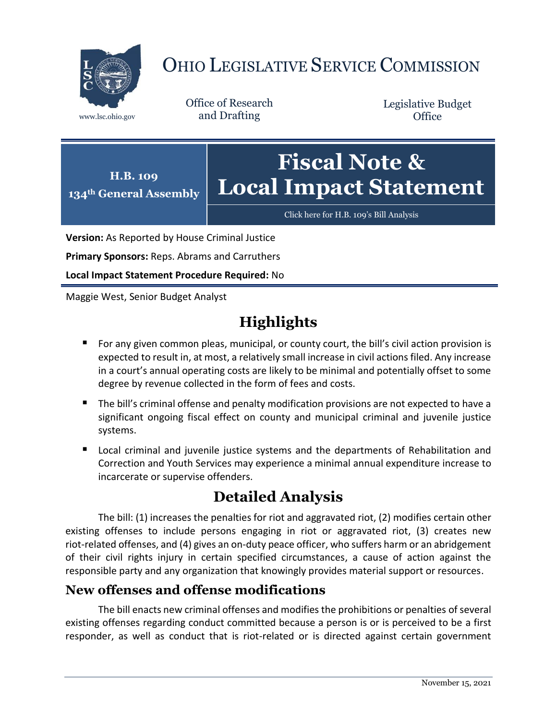

# OHIO LEGISLATIVE SERVICE COMMISSION

Office of Research www.lsc.ohio.gov and Drafting

Legislative Budget **Office** 



[Click here for H.B. 109](https://www.legislature.ohio.gov/legislation/legislation-documents?id=GA134-HB-109)'s Bill Analysis

**Version:** As Reported by House Criminal Justice

**Primary Sponsors:** Reps. Abrams and Carruthers

**Local Impact Statement Procedure Required:** No

Maggie West, Senior Budget Analyst

# **Highlights**

- **For any given common pleas, municipal, or county court, the bill's civil action provision is** expected to result in, at most, a relatively small increase in civil actions filed. Any increase in a court's annual operating costs are likely to be minimal and potentially offset to some degree by revenue collected in the form of fees and costs.
- The bill's criminal offense and penalty modification provisions are not expected to have a significant ongoing fiscal effect on county and municipal criminal and juvenile justice systems.
- **E** Local criminal and juvenile justice systems and the departments of Rehabilitation and Correction and Youth Services may experience a minimal annual expenditure increase to incarcerate or supervise offenders.

## **Detailed Analysis**

The bill: (1) increases the penalties for riot and aggravated riot, (2) modifies certain other existing offenses to include persons engaging in riot or aggravated riot, (3) creates new riot-related offenses, and (4) gives an on-duty peace officer, who suffers harm or an abridgement of their civil rights injury in certain specified circumstances, a cause of action against the responsible party and any organization that knowingly provides material support or resources.

### **New offenses and offense modifications**

The bill enacts new criminal offenses and modifies the prohibitions or penalties of several existing offenses regarding conduct committed because a person is or is perceived to be a first responder, as well as conduct that is riot-related or is directed against certain government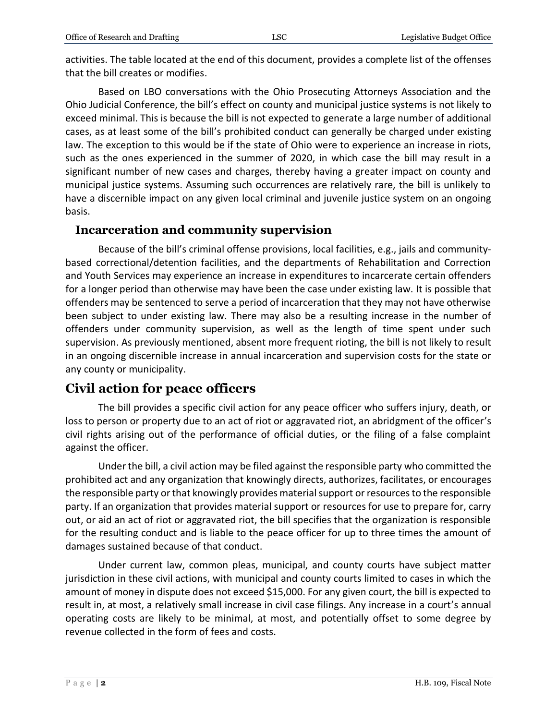activities. The table located at the end of this document, provides a complete list of the offenses that the bill creates or modifies.

Based on LBO conversations with the Ohio Prosecuting Attorneys Association and the Ohio Judicial Conference, the bill's effect on county and municipal justice systems is not likely to exceed minimal. This is because the bill is not expected to generate a large number of additional cases, as at least some of the bill's prohibited conduct can generally be charged under existing law. The exception to this would be if the state of Ohio were to experience an increase in riots, such as the ones experienced in the summer of 2020, in which case the bill may result in a significant number of new cases and charges, thereby having a greater impact on county and municipal justice systems. Assuming such occurrences are relatively rare, the bill is unlikely to have a discernible impact on any given local criminal and juvenile justice system on an ongoing basis.

#### **Incarceration and community supervision**

Because of the bill's criminal offense provisions, local facilities, e.g., jails and communitybased correctional/detention facilities, and the departments of Rehabilitation and Correction and Youth Services may experience an increase in expenditures to incarcerate certain offenders for a longer period than otherwise may have been the case under existing law. It is possible that offenders may be sentenced to serve a period of incarceration that they may not have otherwise been subject to under existing law. There may also be a resulting increase in the number of offenders under community supervision, as well as the length of time spent under such supervision. As previously mentioned, absent more frequent rioting, the bill is not likely to result in an ongoing discernible increase in annual incarceration and supervision costs for the state or any county or municipality.

### **Civil action for peace officers**

The bill provides a specific civil action for any peace officer who suffers injury, death, or loss to person or property due to an act of riot or aggravated riot, an abridgment of the officer's civil rights arising out of the performance of official duties, or the filing of a false complaint against the officer.

Under the bill, a civil action may be filed against the responsible party who committed the prohibited act and any organization that knowingly directs, authorizes, facilitates, or encourages the responsible party or that knowingly provides material support or resources to the responsible party. If an organization that provides material support or resources for use to prepare for, carry out, or aid an act of riot or aggravated riot, the bill specifies that the organization is responsible for the resulting conduct and is liable to the peace officer for up to three times the amount of damages sustained because of that conduct.

Under current law, common pleas, municipal, and county courts have subject matter jurisdiction in these civil actions, with municipal and county courts limited to cases in which the amount of money in dispute does not exceed \$15,000. For any given court, the bill is expected to result in, at most, a relatively small increase in civil case filings. Any increase in a court's annual operating costs are likely to be minimal, at most, and potentially offset to some degree by revenue collected in the form of fees and costs.